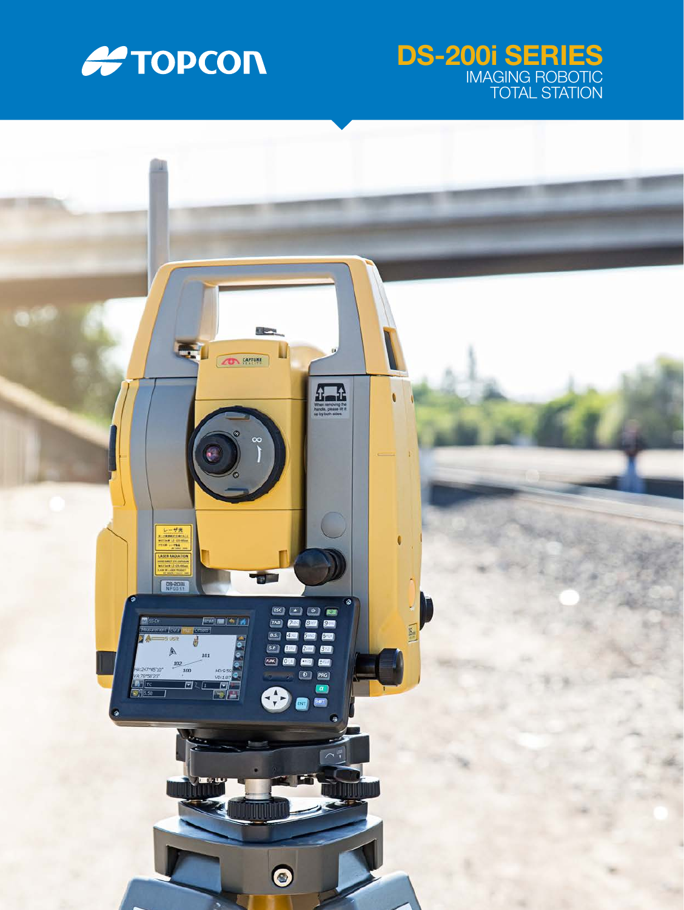

## DS-200i SERIES IMAGING ROBOTIC TOTAL STATION

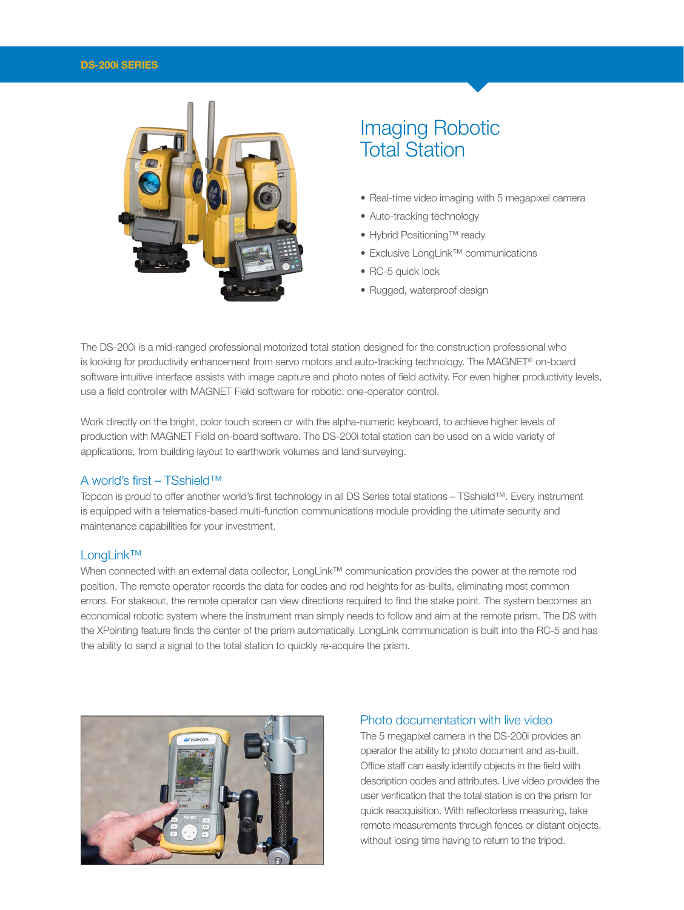#### DS-200i SERIES



# Imaging Robotic Total Station

- Real-time video imaging with 5 megapixel camera
- Auto-tracking technology
- Hybrid Positioning™ ready
- Exclusive LongLink™ communications
- RC-5 quick lock
- Rugged, waterproof design

The DS-200i is a mid-ranged professional motorized total station designed for the construction professional who is looking for productivity enhancement from servo motors and auto-tracking technology. The MAGNET® on-board software intuitive interface assists with image capture and photo notes of field activity. For even higher productivity levels, use a field controller with MAGNET Field software for robotic, one-operator control.

Work directly on the bright, color touch screen or with the alpha-numeric keyboard, to achieve higher levels of production with MAGNET Field on-board software. The DS-200i total station can be used on a wide variety of applications, from building layout to earthwork volumes and land surveying.

#### A world's first – TSshield™

Topcon is proud to offer another world's first technology in all DS Series total stations – TSshield™. Every instrument is equipped with a telematics-based multi-function communications module providing the ultimate security and maintenance capabilities for your investment.

#### LongLink™

When connected with an external data collector, LongLink™ communication provides the power at the remote rod position. The remote operator records the data for codes and rod heights for as-builts, eliminating most common errors. For stakeout, the remote operator can view directions required to find the stake point. The system becomes an economical robotic system where the instrument man simply needs to follow and aim at the remote prism. The DS with the XPointing feature finds the center of the prism automatically. LongLink communication is built into the RC-5 and has the ability to send a signal to the total station to quickly re-acquire the prism.



#### Photo documentation with live video

The 5 megapixel camera in the DS-200i provides an operator the ability to photo document and as-built. Office staff can easily identify objects in the field with description codes and attributes. Live video provides the user verification that the total station is on the prism for quick reacquisition. With reflectorless measuring, take remote measurements through fences or distant objects, without losing time having to return to the tripod.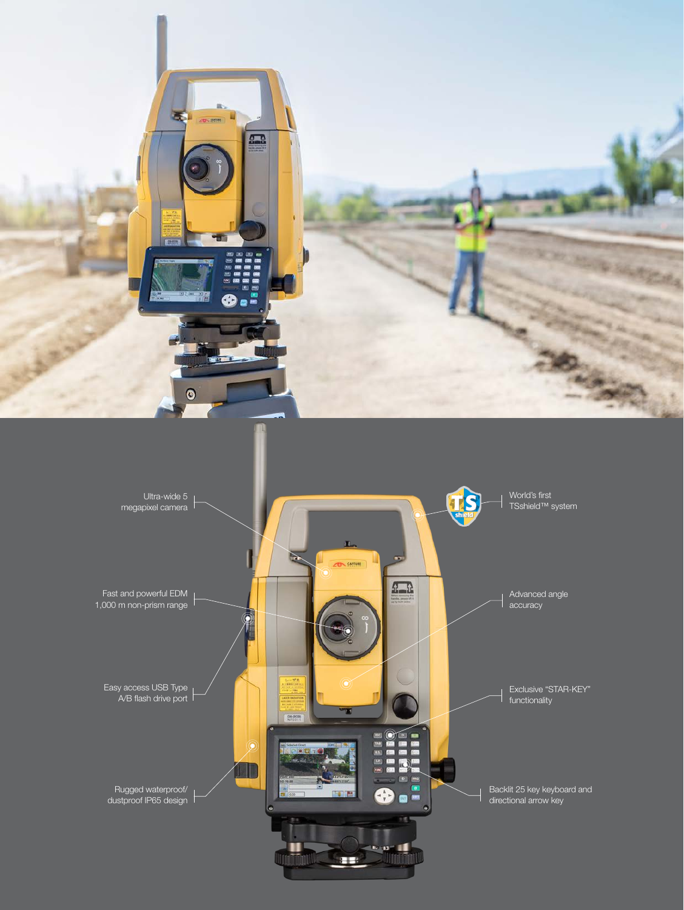